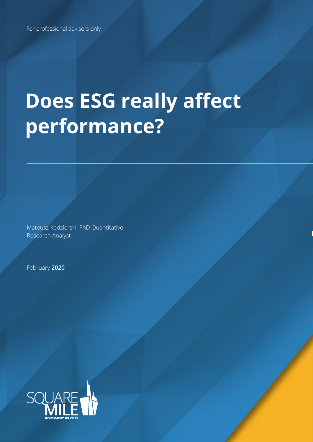# **Does ESG really affect performance?**

Mateusz Kedzierski, PhD Quantitative Research Analyst

February **2020**

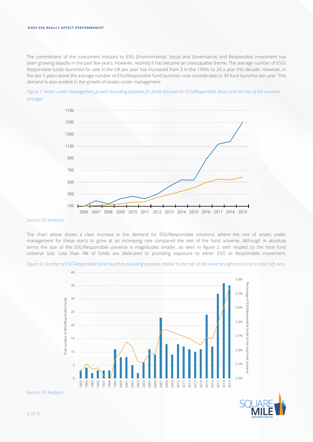### **DOES ESG REALLY AFFECT PERFORMANCE?**

The commitment of the investment industry to ESG (Environmental, Social and Governance) and Responsible investment has been growing steadily in the past few years. However, recently it has become an unescapable theme. The average number of ESG\ Responsible funds launched for sale in the UK per year has increased from 3 in the 1990s to 20 a year this decade. However, in the last 3 years alone the average number of ESG/Responsible fund launches rose considerably to 34 fund launches per year. This demand is also evident in the growth of assets under management.

*Figure 1: Assets under management growth excluding passives for funds focused on ESG/Responsible (blue) and the rest of the universe (orange).*



### *Source: FE Analytics*

The chart above shows a clear increase in the demand for ESG/Responsible solutions, where the size of assets under management for these starts to grow at an increasing rate compared the rest of the fund universe. Although in absolute terms the size of the ESG/Responsible universe is magnitudes smaller, as seen in figure 2, with respect to the total fund universe size. Less than 4% of funds are dedicated to providing exposure to either ESG or Responsible investment.



*Figure 2: Number of ESG\Responsible fund launches excluding passives relative to the rest of the universe (right axis) and in total (left axis)*

*Source: FE Analytics*

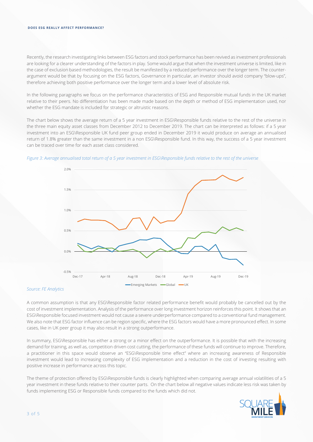### **DOES ESG REALLY AFFECT PERFORMANCE?**

Recently, the research investigating links between ESG factors and stock performance has been revived as investment professionals are looking for a clearer understanding of the factors in play. Some would argue that when the investment universe is limited, like in the case of exclusion based methodologies, the result be manifested by a reduced performance over the longer term. The counterargument would be that by focusing on the ESG factors, Governance in particular, an investor should avoid company "blow-ups", therefore achieving both positive performance over the longer term and a lower level of absolute risk.

In the following paragraphs we focus on the performance characteristics of ESG and Responsible mutual funds in the UK market relative to their peers. No differentiation has been made made based on the depth or method of ESG implementation used, nor whether the ESG mandate is included for strategic or altruistic reasons.

The chart below shows the average return of a 5 year investment in ESG\Responsible funds relative to the rest of the universe in the three main equity asset classes from December 2012 to December 2019. The chart can be interpreted as follows: if a 5 year investment into an ESG\Responsible UK fund peer group ended in December 2019 it would produce on average an annualised return of 1.8% greater than the same investment in a non ESG\Responsible fund. In this way, the success of a 5 year investment can be traced over time for each asset class considered.





## *Source: FE Analytics*

A common assumption is that any ESG\Responsible factor related performance benefit would probably be cancelled out by the cost of investment implementation. Analysis of the performance over long investment horizon reinforces this point. It shows that an ESG\Responsible focused investment would not cause a severe underperformance compared to a conventional fund management. We also note that ESG factor influence can be region specific, where the ESG factors would have a more pronounced effect. In some cases, like in UK peer group it may also result in a strong outperformance.

In summary, ESG\Responsible has either a strong or a minor effect on the outperformance. It is possible that with the increasing demand for training, as well as, competition driven cost cutting, the performance of these funds will continue to improve. Therefore, a practitioner in this space would observe an "ESG\Responsible time effect" where an increasing awareness of Responsible investment would lead to increasing complexity of ESG implementation and a reduction in the cost of investing resulting with positive increase in performance across this topic.

The theme of protection offered by ESG\Responsible funds is clearly highlighted when comparing average annual volatilities of a 5 year investment in these funds relative to their counter parts. On the chart below all negative values indicate less risk was taken by funds implementing ESG or Responsible funds compared to the funds which did not.

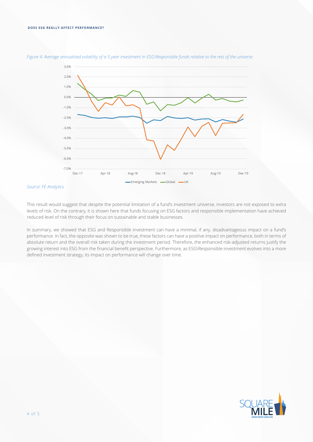

*Figure 4: Average annualised volatility of a 5 year investment in ESG\Responsible funds relative to the rest of the universe*

# *Source: FE Analytics*

This result would suggest that despite the potential limitation of a fund's investment universe, investors are not exposed to extra levels of risk. On the contrary, it is shown here that funds focusing on ESG factors and responsible implementation have achieved reduced level of risk through their focus on sustainable and stable businesses.

In summary, we showed that ESG and Responsible investment can have a minimal, if any, disadvantageous impact on a fund's performance. In fact, the opposite was shown to be true, these factors can have a positive impact on performance, both in terms of absolute return and the overall risk taken during the investment period. Therefore, the enhanced risk-adjusted returns justify the growing interest into ESG from the financial benefit perspective. Furthermore, as ESG\Responsible investment evolves into a more defined investment strategy, its impact on performance will change over time.